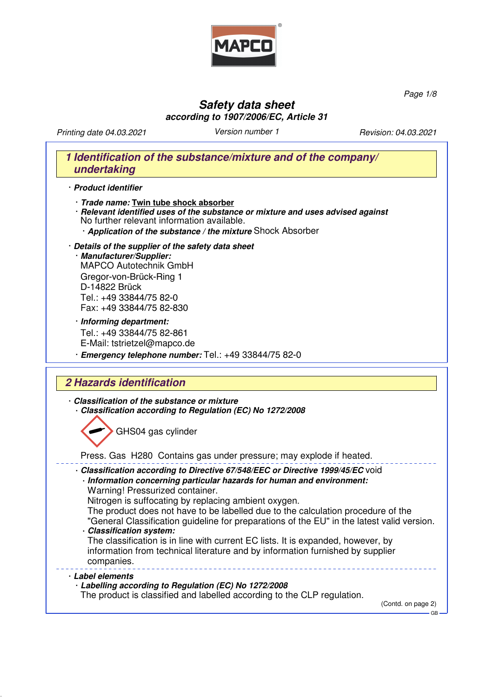

*Page 1/8*

## **Safety data sheet according to 1907/2006/EC, Article 31**

*Printing date* 04.03.2021 *Version number 1 Revision:* 04.03.2021

# **1 Identification of the substance/mixture and of the company/ undertaking** · **Product identifier**

- · **Trade name: Twin tube shock absorber**
- · **Relevant identified uses of the substance or mixture and uses advised against** No further relevant information available.
	- · **Application of the substance / the mixture** Shock Absorber
- · **Details of the supplier of the safety data sheet** · **Manufacturer/Supplier:** MAPCO Autotechnik GmbH Gregor-von-Brück-Ring 1 D-14822 Brück Tel.: +49 33844/75 82-0 Fax: +49 33844/75 82-830
- · **Informing department:** Tel.: +49 33844/75 82-861 E-Mail: tstrietzel@mapco.de · **Emergency telephone number:** Tel.: +49 33844/75 82-0

# **2 Hazards identification**

- · **Classification of the substance or mixture** · **Classification according to Regulation (EC) No 1272/2008** GHS04 gas cylinder Press. Gas H280 Contains gas under pressure; may explode if heated. · **Classification according to Directive 67/548/EEC or Directive 1999/45/EC** void · **Information concerning particular hazards for human and environment:** Warning! Pressurized container. Nitrogen is suffocating by replacing ambient oxygen. The product does not have to be labelled due to the calculation procedure of the "General Classification guideline for preparations of the EU" in the latest valid version. · **Classification system:** The classification is in line with current EC lists. It is expanded, however, by information from technical literature and by information furnished by supplier companies. · **Label elements** · **Labelling according to Regulation (EC) No 1272/2008**
	- The product is classified and labelled according to the CLP regulation.

(Contd. on page 2)

GB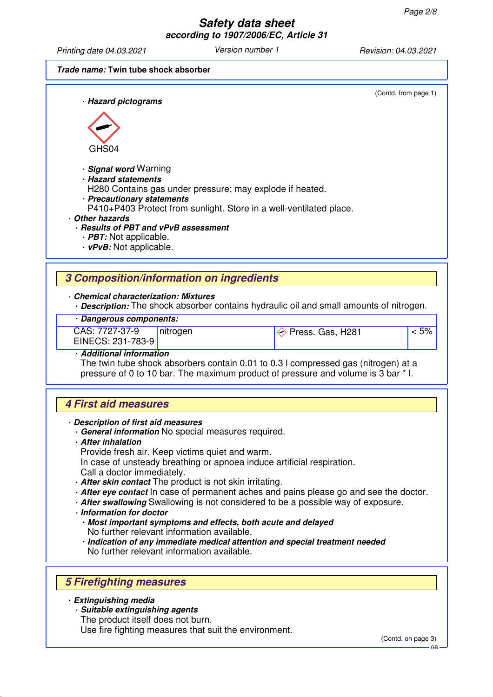*Printing date* 04.03.2021 *Version number 1 Revision:* 04*.0*3*.20*21

(Contd. from page 1)

#### **Trade name: Twin tube shock absorber**

· **Hazard pictograms**



· **Signal word** Warning

· **Hazard statements**

H280 Contains gas under pressure; may explode if heated.

· **Precautionary statements**

P410+P403 Protect from sunlight. Store in a well-ventilated place.

· **Other hazards**

· **Results of PBT and vPvB assessment**

- · **PBT:** Not applicable.
- · **vPvB:** Not applicable.

## **3 Composition/information on ingredients**

· **Chemical characterization: Mixtures**

· **Description:** The shock absorber contains hydraulic oil and small amounts of nitrogen.

#### · **Dangerous components:**

CAS: 7727-37-9 EINECS: 231-783-9

nitrogen  $\Diamond$  Press. Gas, H281  $\Diamond$  S

· **Additional information** The twin tube shock absorbers contain 0.01 to 0.3 l compressed gas (nitrogen) at a pressure of 0 to 10 bar. The maximum product of pressure and volume is 3 bar \* l.

# **4 First aid measures**

- · **Description of first aid measures**
	- · **General information** No special measures required.
	- · **After inhalation**
		- Provide fresh air. Keep victims quiet and warm.
	- In case of unsteady breathing or apnoea induce artificial respiration. Call a doctor immediately.
	- · **After skin contact** The product is not skin irritating.
	- · **After eye contact** In case of permanent aches and pains please go and see the doctor.
	- · **After swallowing** Swallowing is not considered to be a possible way of exposure.
	- · **Information for doctor**
		- · **Most important symptoms and effects, both acute and delayed** No further relevant information available.
		- · **Indication of any immediate medical attention and special treatment needed** No further relevant information available.

# **5 Firefighting measures**

#### · **Extinguishing media**

- · **Suitable extinguishing agents**
	- The product itself does not burn.

Use fire fighting measures that suit the environment.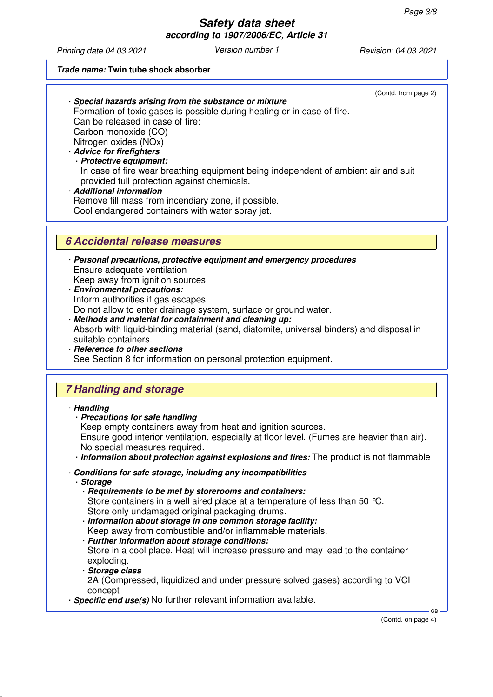*Printing date* 04.03.2021 *Version number 1 Revision:* 04.03.2021

#### **Trade name: Twin tube shock absorber**

(Contd. from page 2)

· **Special hazards arising from the substance or mixture** Formation of toxic gases is possible during heating or in case of fire. Can be released in case of fire: Carbon monoxide (CO) Nitrogen oxides (NOx) · **Advice for firefighters**

· **Protective equipment:** In case of fire wear breathing equipment being independent of ambient air and suit provided full protection against chemicals.

· **Additional information**

Remove fill mass from incendiary zone, if possible.

Cool endangered containers with water spray jet.

## **6 Accidental release measures**

- · **Personal precautions, protective equipment and emergency procedures** Ensure adequate ventilation Keep away from ignition sources
- · **Environmental precautions:** Inform authorities if gas escapes. Do not allow to enter drainage system, surface or ground water.
- · **Methods and material for containment and cleaning up:** Absorb with liquid-binding material (sand, diatomite, universal binders) and disposal in suitable containers.
- · **Reference to other sections** See Section 8 for information on personal protection equipment.

# **7 Handling and storage**

#### · **Handling**

· **Precautions for safe handling**

Keep empty containers away from heat and ignition sources.

Ensure good interior ventilation, especially at floor level. (Fumes are heavier than air). No special measures required.

· **Information about protection against explosions and fires:** The product is not flammable

- · **Conditions for safe storage, including any incompatibilities**
	- · **Storage**
		- · **Requirements to be met by storerooms and containers:** Store containers in a well aired place at a temperature of less than 50  $^{\circ}C$ . Store only undamaged original packaging drums.
		- · **Information about storage in one common storage facility:** Keep away from combustible and/or inflammable materials.
		- · **Further information about storage conditions:**

Store in a cool place. Heat will increase pressure and may lead to the container exploding.

· **Storage class**

2A (Compressed, liquidized and under pressure solved gases) according to VCI concept

· **Specific end use(s)** No further relevant information available.

(Contd. on page 4)

GB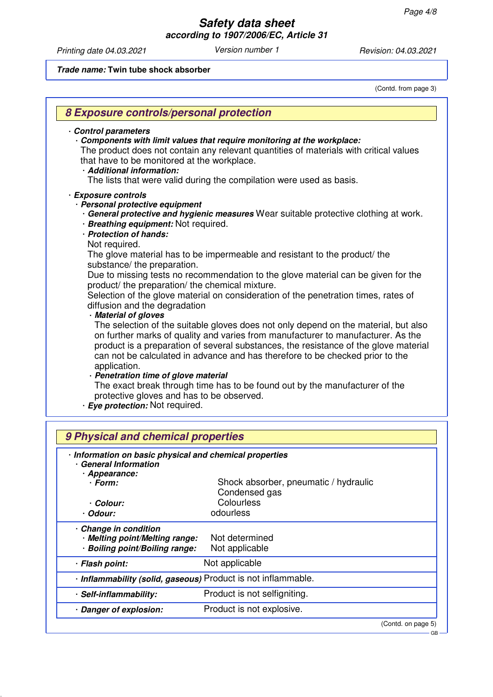*Printing date* 04.03.2021 *Version number 1 Revision:* 04.03.2021

**Trade name: Twin tube shock absorber**

(Contd. from page 3)

| Control parameters<br>that have to be monitored at the workplace.<br>· Additional information:                                            | Components with limit values that require monitoring at the workplace:<br>The product does not contain any relevant quantities of materials with critical values                                                                                                                                                                                 |
|-------------------------------------------------------------------------------------------------------------------------------------------|--------------------------------------------------------------------------------------------------------------------------------------------------------------------------------------------------------------------------------------------------------------------------------------------------------------------------------------------------|
|                                                                                                                                           | The lists that were valid during the compilation were used as basis.                                                                                                                                                                                                                                                                             |
| · Exposure controls<br>· Personal protective equipment<br>· Breathing equipment: Not required.<br>· Protection of hands:<br>Not required. | · General protective and hygienic measures Wear suitable protective clothing at work.                                                                                                                                                                                                                                                            |
|                                                                                                                                           | The glove material has to be impermeable and resistant to the product/ the                                                                                                                                                                                                                                                                       |
| substance/ the preparation.<br>product/ the preparation/ the chemical mixture.                                                            | Due to missing tests no recommendation to the glove material can be given for the                                                                                                                                                                                                                                                                |
| diffusion and the degradation<br>· Material of gloves                                                                                     | Selection of the glove material on consideration of the penetration times, rates of                                                                                                                                                                                                                                                              |
| application.                                                                                                                              | The selection of the suitable gloves does not only depend on the material, but also<br>on further marks of quality and varies from manufacturer to manufacturer. As the<br>product is a preparation of several substances, the resistance of the glove material<br>can not be calculated in advance and has therefore to be checked prior to the |
| · Penetration time of glove material                                                                                                      |                                                                                                                                                                                                                                                                                                                                                  |
| protective gloves and has to be observed.<br>· Eye protection: Not required.                                                              | The exact break through time has to be found out by the manufacturer of the                                                                                                                                                                                                                                                                      |
| 9 Physical and chemical properties                                                                                                        |                                                                                                                                                                                                                                                                                                                                                  |
| · Information on basic physical and chemical properties<br>· General Information                                                          |                                                                                                                                                                                                                                                                                                                                                  |
| · Appearance:                                                                                                                             |                                                                                                                                                                                                                                                                                                                                                  |
| · Form:                                                                                                                                   | Shock absorber, pneumatic / hydraulic<br>Condensed gas                                                                                                                                                                                                                                                                                           |
| · Colour:                                                                                                                                 | Colourless                                                                                                                                                                                                                                                                                                                                       |
| · Odour:                                                                                                                                  | odourless                                                                                                                                                                                                                                                                                                                                        |
| - Change in condition<br>· Melting point/Melting range:<br>· Boiling point/Boiling range:                                                 | Not determined<br>Not applicable                                                                                                                                                                                                                                                                                                                 |
| · Flash point:                                                                                                                            | Not applicable                                                                                                                                                                                                                                                                                                                                   |
|                                                                                                                                           |                                                                                                                                                                                                                                                                                                                                                  |
| · Self-inflammability:                                                                                                                    | · Inflammability (solid, gaseous) Product is not inflammable.<br>Product is not selfigniting.                                                                                                                                                                                                                                                    |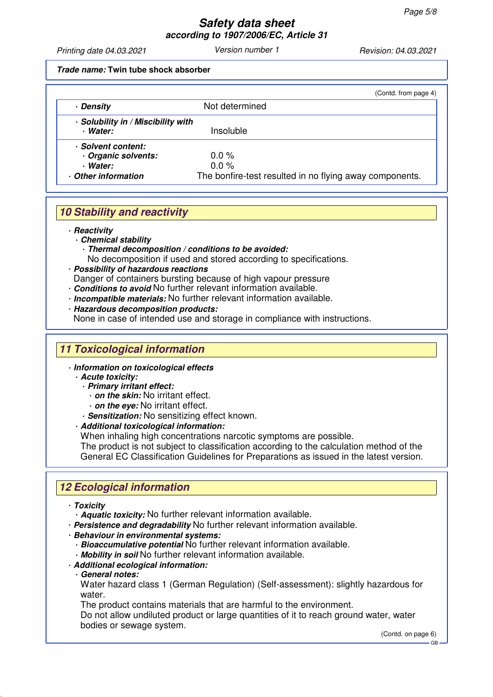*Printing date* 04.03.2021 *Version number 1 Revision:* 04.03.2021

#### **Trade name: Twin tube shock absorber**

|                                                | (Contd. from page 4)                                    |
|------------------------------------------------|---------------------------------------------------------|
| · Density                                      | Not determined                                          |
| · Solubility in / Miscibility with<br>· Water: | Insoluble                                               |
| · Solvent content:                             |                                                         |
| · Organic solvents:                            | $0.0\%$                                                 |
| · Water:                                       | $0.0 \%$                                                |
| Other information                              | The bonfire-test resulted in no flying away components. |

# **10 Stability and reactivity**

· **Reactivity**

- · **Chemical stability**
	- · **Thermal decomposition / conditions to be avoided:**

No decomposition if used and stored according to specifications.

· **Possibility of hazardous reactions**

Danger of containers bursting because of high vapour pressure

- · **Conditions to avoid** No further relevant information available.
- · **Incompatible materials:** No further relevant information available.
- · **Hazardous decomposition products:**

None in case of intended use and storage in compliance with instructions.

# **11 Toxicological information**

- · **Information on toxicological effects**
	- · **Acute toxicity:**
		- · **Primary irritant effect:**
			- · **on the skin:** No irritant effect.
			- · **on the eye:** No irritant effect.
		- · **Sensitization:** No sensitizing effect known.
	- · **Additional toxicological information:**

When inhaling high concentrations narcotic symptoms are possible.

The product is not subject to classification according to the calculation method of the General EC Classification Guidelines for Preparations as issued in the latest version.

# **12 Ecological information**

- · **Toxicity**
	- · **Aquatic toxicity:** No further relevant information available.
- · **Persistence and degradability** No further relevant information available.
- · **Behaviour in environmental systems:**
	- · **Bioaccumulative potential** No further relevant information available.
	- · **Mobility in soil** No further relevant information available.
- · **Additional ecological information:**
- · **General notes:**

Water hazard class 1 (German Regulation) (Self-assessment): slightly hazardous for water.

The product contains materials that are harmful to the environment.

Do not allow undiluted product or large quantities of it to reach ground water, water bodies or sewage system.

(Contd. on page 6)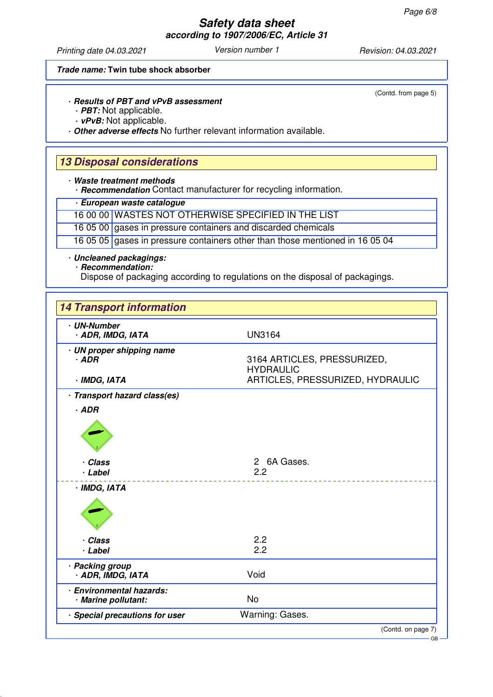*Printing date* 04.03.2021 *Version number 1 Revision:* 04.03.2021

#### **Trade name: Twin tube shock absorber**

(Contd. from page 5)

### · **Results of PBT and vPvB assessment**

· **PBT:** Not applicable.

· **vPvB:** Not applicable.

· **Other adverse effects** No further relevant information available.

## **13 Disposal considerations**

· **Waste treatment methods**

· **Recommendation** Contact manufacturer for recycling information.

#### · **European waste catalogue**

16 00 00 WASTES NOT OTHERWISE SPECIFIED IN THE LIST

16 05 00 gases in pressure containers and discarded chemicals

16 05 05 gases in pressure containers other than those mentioned in 16 05 04

#### · **Uncleaned packagings:**

· **Recommendation:**

Dispose of packaging according to regulations on the disposal of packagings.

| · UN-Number<br>· ADR, IMDG, IATA                | <b>UN3164</b>                                   |
|-------------------------------------------------|-------------------------------------------------|
|                                                 |                                                 |
| · UN proper shipping name<br>$-$ ADR            | 3164 ARTICLES, PRESSURIZED,<br><b>HYDRAULIC</b> |
| · IMDG, IATA                                    | ARTICLES, PRESSURIZED, HYDRAULIC                |
| · Transport hazard class(es)                    |                                                 |
| $·$ ADR                                         |                                                 |
| · Class<br>· Label                              | 2 6A Gases.<br>2.2                              |
| · IMDG, IATA                                    |                                                 |
|                                                 |                                                 |
| · Class                                         | 2.2                                             |
| · Label                                         | 2.2                                             |
| · Packing group<br>· ADR, IMDG, IATA            | Void                                            |
| · Environmental hazards:<br>· Marine pollutant: | <b>No</b>                                       |
| · Special precautions for user                  | Warning: Gases.                                 |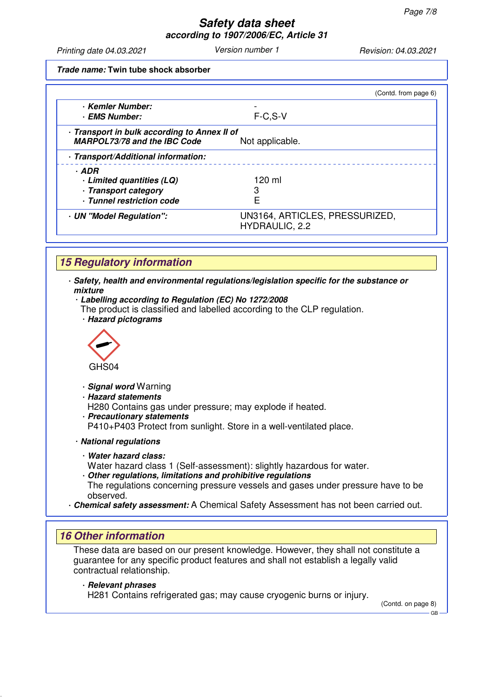*Printing date* 04.03.2021 *Version number 1 Revision:* 04.03.2021

**Trade name: Twin tube shock absorber**

|                                                                                     | (Contd. from page 6)                                    |
|-------------------------------------------------------------------------------------|---------------------------------------------------------|
| · Kemler Number:                                                                    |                                                         |
| · EMS Number:                                                                       | $F-C, S-V$                                              |
| · Transport in bulk according to Annex II of<br><b>MARPOL73/78 and the IBC Code</b> | Not applicable.                                         |
| · Transport/Additional information:                                                 |                                                         |
| · ADR                                                                               |                                                         |
| · Limited quantities (LQ)                                                           | 120 ml                                                  |
| · Transport category                                                                |                                                         |
| · Tunnel restriction code                                                           |                                                         |
| · UN "Model Regulation":                                                            | UN3164, ARTICLES, PRESSURIZED,<br><b>HYDRAULIC, 2.2</b> |

# **15 Regulatory information**

- · **Safety, health and environmental regulations/legislation specific for the substance or mixture**
	- · **Labelling according to Regulation (EC) No 1272/2008**
	- The product is classified and labelled according to the CLP regulation. · **Hazard pictograms**



- · **Signal word** Warning
- · **Hazard statements**
- H280 Contains gas under pressure; may explode if heated.
- · **Precautionary statements** P410+P403 Protect from sunlight. Store in a well-ventilated place.
- · **National regulations**
	- · **Water hazard class:**
	- Water hazard class 1 (Self-assessment): slightly hazardous for water.
	- · **Other regulations, limitations and prohibitive regulations** The regulations concerning pressure vessels and gases under pressure have to be observed.
- · **Chemical safety assessment:** A Chemical Safety Assessment has not been carried out.

## **16 Other information**

These data are based on our present knowledge. However, they shall not constitute a guarantee for any specific product features and shall not establish a legally valid contractual relationship.

#### · **Relevant phrases**

H281 Contains refrigerated gas; may cause cryogenic burns or injury.

(Contd. on page 8)